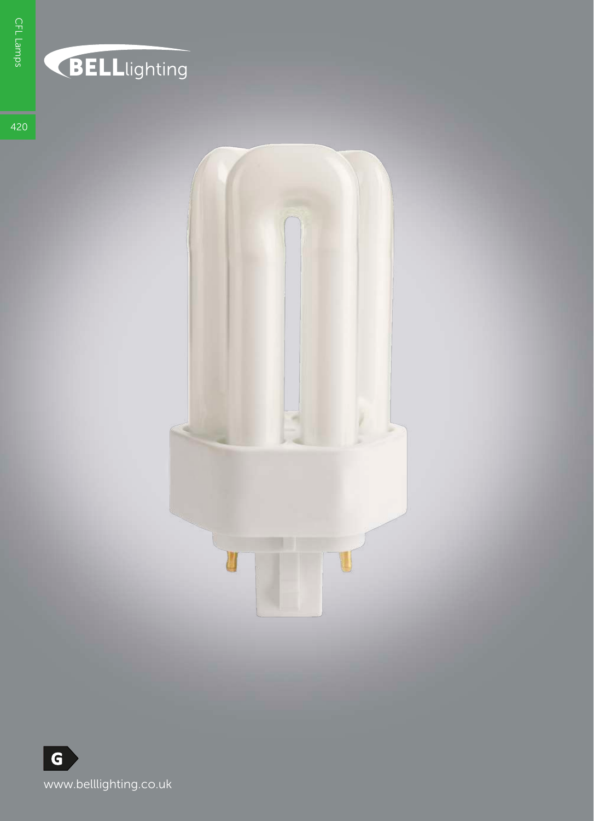## **BELL**lighting

420